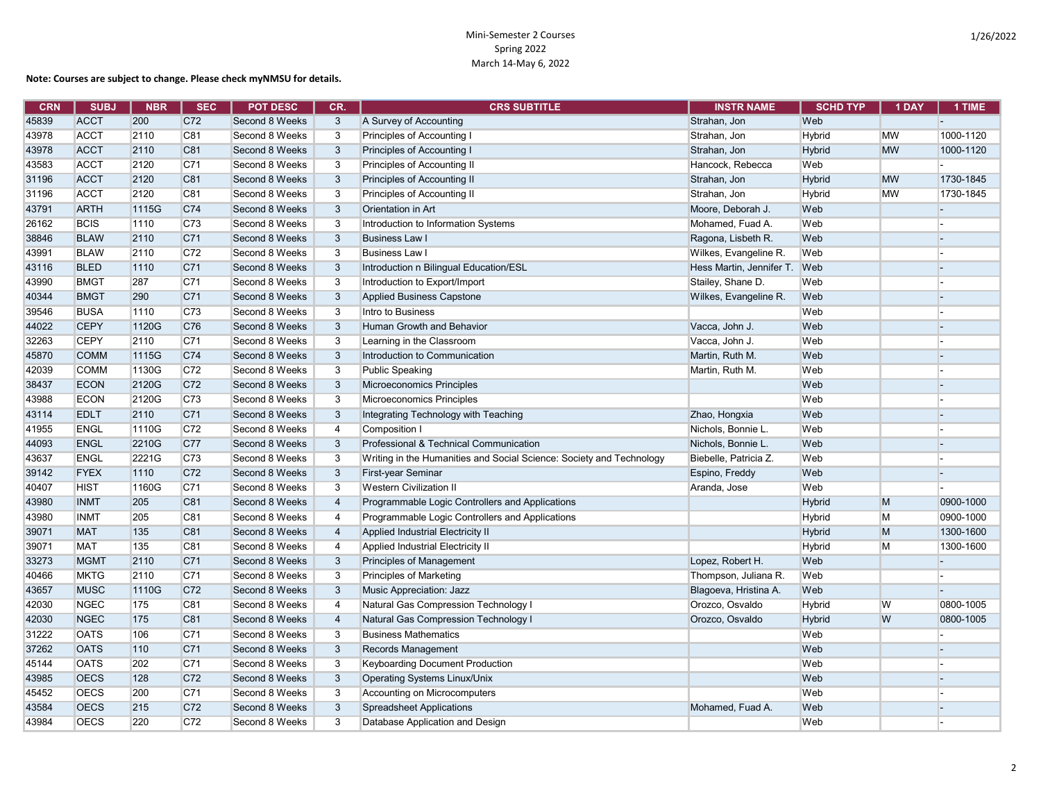## **Note: Courses are subject to change. Please check myNMSU for details.**

| <b>CRN</b> | <b>SUBJ</b> | <b>NBR</b> | <b>SEC</b> | <b>POT DESC</b> | CR.            | <b>CRS SUBTITLE</b>                                                  | <b>INSTR NAME</b>        | <b>SCHD TYP</b> | 1 DAY     | 1 TIME    |
|------------|-------------|------------|------------|-----------------|----------------|----------------------------------------------------------------------|--------------------------|-----------------|-----------|-----------|
| 45839      | <b>ACCT</b> | 200        | C72        | Second 8 Weeks  | 3              | A Survey of Accounting                                               | Strahan, Jon             | Web             |           |           |
| 43978      | <b>ACCT</b> | 2110       | C81        | Second 8 Weeks  | 3              | Principles of Accounting I                                           | Strahan, Jon             | <b>Hybrid</b>   | <b>MW</b> | 1000-1120 |
| 43978      | <b>ACCT</b> | 2110       | C81        | Second 8 Weeks  | 3              | Principles of Accounting I                                           | Strahan, Jon             | <b>Hybrid</b>   | <b>MW</b> | 1000-1120 |
| 43583      | <b>ACCT</b> | 2120       | C71        | Second 8 Weeks  | 3              | Principles of Accounting II                                          | Hancock, Rebecca         | Web             |           |           |
| 31196      | <b>ACCT</b> | 2120       | C81        | Second 8 Weeks  | $\mathbf{3}$   | Principles of Accounting II                                          | Strahan, Jon             | <b>Hybrid</b>   | <b>MW</b> | 1730-1845 |
| 31196      | <b>ACCT</b> | 2120       | C81        | Second 8 Weeks  | 3              | Principles of Accounting II                                          | Strahan, Jon             | Hybrid          | <b>MW</b> | 1730-1845 |
| 43791      | <b>ARTH</b> | 1115G      | C74        | Second 8 Weeks  | $\mathbf{3}$   | Orientation in Art                                                   | Moore, Deborah J.        | Web             |           |           |
| 26162      | <b>BCIS</b> | 1110       | C73        | Second 8 Weeks  | 3              | Introduction to Information Systems                                  | Mohamed, Fuad A.         | Web             |           |           |
| 38846      | <b>BLAW</b> | 2110       | C71        | Second 8 Weeks  | $\mathbf{3}$   | <b>Business Law I</b>                                                | Ragona, Lisbeth R.       | Web             |           |           |
| 43991      | <b>BLAW</b> | 2110       | C72        | Second 8 Weeks  | 3              | <b>Business Law I</b>                                                | Wilkes, Evangeline R.    | Web             |           |           |
| 43116      | <b>BLED</b> | 1110       | C71        | Second 8 Weeks  | $\mathbf{3}$   | Introduction n Bilingual Education/ESL                               | Hess Martin, Jennifer T. | <b>Web</b>      |           |           |
| 43990      | <b>BMGT</b> | 287        | C71        | Second 8 Weeks  | 3              | Introduction to Export/Import                                        | Stailey, Shane D.        | Web             |           |           |
| 40344      | <b>BMGT</b> | 290        | C71        | Second 8 Weeks  | 3              | <b>Applied Business Capstone</b>                                     | Wilkes, Evangeline R.    | Web             |           |           |
| 39546      | <b>BUSA</b> | 1110       | C73        | Second 8 Weeks  | 3              | Intro to Business                                                    |                          | Web             |           |           |
| 44022      | <b>CEPY</b> | 1120G      | C76        | Second 8 Weeks  | 3 <sup>5</sup> | Human Growth and Behavior                                            | Vacca, John J.           | Web             |           |           |
| 32263      | <b>CEPY</b> | 2110       | C71        | Second 8 Weeks  | 3              | Learning in the Classroom                                            | Vacca, John J.           | Web             |           |           |
| 45870      | <b>COMM</b> | 1115G      | C74        | Second 8 Weeks  | $\mathbf{3}$   | Introduction to Communication                                        | Martin, Ruth M.          | Web             |           |           |
| 42039      | <b>COMM</b> | 1130G      | C72        | Second 8 Weeks  | 3              | Public Speaking                                                      | Martin, Ruth M.          | Web             |           |           |
| 38437      | <b>ECON</b> | 2120G      | C72        | Second 8 Weeks  | $\mathbf{3}$   | Microeconomics Principles                                            |                          | Web             |           |           |
| 43988      | <b>ECON</b> | 2120G      | C73        | Second 8 Weeks  | 3              | Microeconomics Principles                                            |                          | Web             |           |           |
| 43114      | <b>EDLT</b> | 2110       | C71        | Second 8 Weeks  | $\mathbf{3}$   | Integrating Technology with Teaching                                 | Zhao, Hongxia            | Web             |           |           |
| 41955      | <b>ENGL</b> | 1110G      | C72        | Second 8 Weeks  | 4              | Composition I                                                        | Nichols, Bonnie L.       | Web             |           |           |
| 44093      | <b>ENGL</b> | 2210G      | C77        | Second 8 Weeks  | $\mathbf{3}$   | Professional & Technical Communication                               | Nichols, Bonnie L.       | Web             |           |           |
| 43637      | <b>ENGL</b> | 2221G      | C73        | Second 8 Weeks  | 3              | Writing in the Humanities and Social Science: Society and Technology | Biebelle, Patricia Z.    | Web             |           |           |
| 39142      | <b>FYEX</b> | 1110       | C72        | Second 8 Weeks  | $\mathbf{3}$   | First-year Seminar                                                   | Espino, Freddy           | Web             |           |           |
| 40407      | <b>HIST</b> | 1160G      | C71        | Second 8 Weeks  | 3              | <b>Western Civilization II</b>                                       | Aranda, Jose             | Web             |           |           |
| 43980      | <b>INMT</b> | 205        | C81        | Second 8 Weeks  | $\overline{4}$ | Programmable Logic Controllers and Applications                      |                          | <b>Hybrid</b>   | M         | 0900-1000 |
| 43980      | <b>INMT</b> | 205        | C81        | Second 8 Weeks  |                | Programmable Logic Controllers and Applications                      |                          | <b>Hybrid</b>   | M         | 0900-1000 |
| 39071      | <b>MAT</b>  | 135        | C81        | Second 8 Weeks  | 4              | Applied Industrial Electricity II                                    |                          | Hybrid          | M         | 1300-1600 |
| 39071      | <b>MAT</b>  | 135        | C81        | Second 8 Weeks  | 4              | Applied Industrial Electricity II                                    |                          | Hybrid          | M         | 1300-1600 |
| 33273      | <b>MGMT</b> | 2110       | C71        | Second 8 Weeks  | 3              | <b>Principles of Management</b>                                      | Lopez, Robert H.         | Web             |           |           |
| 40466      | <b>MKTG</b> | 2110       | C71        | Second 8 Weeks  | 3              | <b>Principles of Marketing</b>                                       | Thompson, Juliana R.     | Web             |           |           |
| 43657      | <b>MUSC</b> | 1110G      | C72        | Second 8 Weeks  | 3              | Music Appreciation: Jazz                                             | Blagoeva, Hristina A.    | Web             |           |           |
| 42030      | <b>NGEC</b> | 175        | C81        | Second 8 Weeks  |                | Natural Gas Compression Technology I                                 | Orozco, Osvaldo          | Hybrid          | W         | 0800-1005 |
| 42030      | <b>NGEC</b> | 175        | C81        | Second 8 Weeks  |                | Natural Gas Compression Technology I                                 | Orozco, Osvaldo          | <b>Hybrid</b>   | W         | 0800-1005 |
| 31222      | <b>OATS</b> | 106        | C71        | Second 8 Weeks  | 3              | <b>Business Mathematics</b>                                          |                          | Web             |           |           |
| 37262      | <b>OATS</b> | 110        | C71        | Second 8 Weeks  | 3              | Records Management                                                   |                          | Web             |           |           |
| 45144      | <b>OATS</b> | 202        | C71        | Second 8 Weeks  | 3              | <b>Keyboarding Document Production</b>                               |                          | Web             |           |           |
| 43985      | <b>OECS</b> | 128        | C72        | Second 8 Weeks  | $\mathbf{3}$   | <b>Operating Systems Linux/Unix</b>                                  |                          | Web             |           |           |
| 45452      | <b>OECS</b> | 200        | C71        | Second 8 Weeks  | 3              | Accounting on Microcomputers                                         |                          | Web             |           |           |
| 43584      | <b>OECS</b> | 215        | C72        | Second 8 Weeks  | 3              | <b>Spreadsheet Applications</b>                                      | Mohamed, Fuad A.         | Web             |           |           |
| 43984      | <b>OECS</b> | 220        | C72        | Second 8 Weeks  | 3              | Database Application and Design                                      |                          | Web             |           |           |